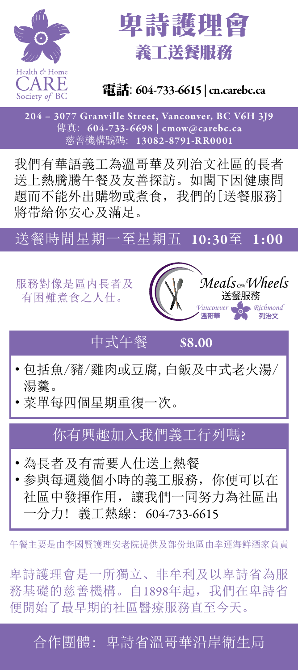



#### 電話: 604-733-6615 | cn.carebc.ca

204 – 3077 Granville Street, Vancouver, BC V6H 3J9 傳真: 604-733-6698 | cmow@carebc.ca 慈善機構號碼: 13082-8791-RR0001

我們有華語義工為溫哥華及列治文社區的長者 送上熱騰騰午餐及友善探訪。如閣下因健康問 題而不能外出購物或煮食,我們的[送餐服務] 將带給你安心及滿足。

#### 送餐時間星期一至星期五 10:30至 1:00



## 中式午餐 \$8.00

- 包括魚/豬/雞肉或豆腐,白飯及中式老火湯/ 湯羹。
- 菜單每四個星期重復一次。

#### 你有興趣加入我們義工行列嗎?

- 為長者及有需要人仕送上熱餐
- 参與每週幾個小時的義工服務,你便可以在 社區中發揮作用,讓我們一同努力為社區出 一分力! 義工熱線: 604-733-6615

午餐主要是由李國賢護理安老院提供及部份地區由幸運海鲜酒家負責

卑詩護理會是一所獨立、非牟利及以卑詩省為服 務基礎的慈善機構。自1898年起,我們在卑詩省 便開始了最早期的社區醫療服務直至今天。

合作團體: 卑詩省溫哥華沿岸衛生局